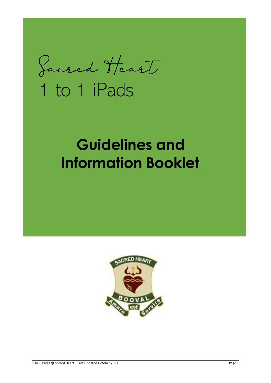Sacred Heart

# 1 to 1 iPads

# **Information Booklet**

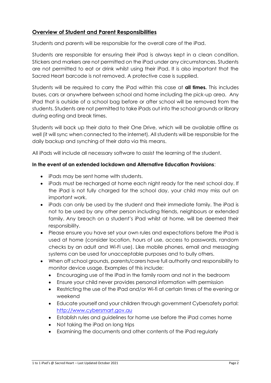# **Overview of Student and Parent Responsibilities**

Students and parents will be responsible for the overall care of the iPad.

Students are responsible for ensuring their iPad is always kept in a clean condition. Stickers and markers are not permitted on the iPad under any circumstances. Students are not permitted to eat or drink whilst using their iPad. It is also important that the Sacred Heart barcode is not removed. A protective case is supplied.

Students will be required to carry the iPad within this case at **all times.** This includes buses, cars or anywhere between school and home including the pick-up area. Any iPad that is outside of a school bag before or after school will be removed from the students. Students are not permitted to take iPads out into the school grounds or library during eating and break times.

Students will back up their data to their One Drive, which will be available offline as well (it will sync when connected to the internet). All students will be responsible for the daily backup and synching of their data via this means.

All iPads will include all necessary software to assist the learning of the student.

# **In the event of an extended lockdown and Alternative Education Provisions**:

- iPads may be sent home with students.
- iPads must be recharged at home each night ready for the next school day. If the iPad is not fully charged for the school day, your child may miss out on important work.
- iPads can only be used by the student and their immediate family. The iPad is not to be used by any other person including friends, neighbours or extended family. Any breach on a student's iPad whilst at home, will be deemed their responsibility.
- Please ensure you have set your own rules and expectations before the iPad is used at home (consider location, hours of use, access to passwords, random checks by an adult and Wi-Fi use). Like mobile phones, email and messaging systems can be used for unacceptable purposes and to bully others.
- When off school grounds, parents/carers have full authority and responsibility to monitor device usage. Examples of this include:
	- Encouraging use of the iPad in the family room and not in the bedroom
	- Ensure your child never provides personal information with permission
	- Restricting the use of the iPad and/or Wi-fi at certain times of the evening or weekend
	- Educate yourself and your children through government Cybersafety portal: [http://www.cybersmart.gov.au](http://www.cybersmart.gov.au/)
	- Establish rules and guidelines for home use before the iPad comes home
	- Not taking the iPad on long trips
	- Examining the documents and other contents of the iPad regularly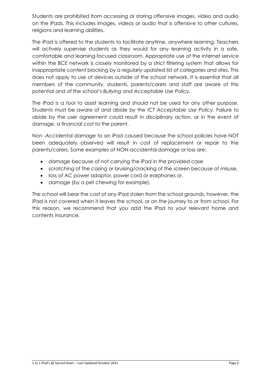Students are prohibited from accessing or storing offensive images, video and audio on the iPads. This includes images, videos or audio that is offensive to other cultures, religions and learning abilities.

The iPad is offered to the students to facilitate anytime, anywhere learning. Teachers will actively supervise students as they would for any learning activity in a safe, comfortable and learning-focused classroom. Appropriate use of the internet service within the BCE network is closely monitored by a strict filtering system that allows for inappropriate content blocking by a regularly updated list of categories and sites. This does not apply to use of devices outside of the school network. It is essential that all members of the community, students, parents/carers and staff are aware of this potential and of the school's *Bullying and Acceptable Use Policy.*

The iPad is a tool to assist learning and should not be used for any other purpose. Students must be aware of and abide by the *ICT Acceptable Use Policy.* Failure to abide by the user agreement could result in disciplinary action, or in the event of damage, a financial cost to the parent.

Non -Accidental damage to an iPad caused because the school policies have NOT been adequately observed will result in cost of replacement or repair to the parents/carers. Some examples of NON-accidental damage or loss are;

- damage because of not carrying the iPad in the provided case
- scratching of the casing or bruising/cracking of the screen because of misuse,
- loss of AC power adaptor, power cord or earphones or,
- damage (by a pet chewing for example).

The school will bear the cost of any iPad stolen from the school grounds, however, the iPad is not covered when it leaves the school, or on the journey to or from school. For this reason, we recommend that you add the iPad to your relevant home and contents insurance.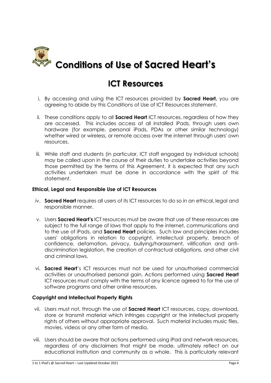

# **ICT Resources**

- i. By accessing and using the ICT resources provided by **Sacred Heart,** you are agreeing to abide by this Conditions of Use of ICT Resources statement.
- ii. These conditions apply to all **Sacred Heart** ICT resources, regardless of how they are accessed. This includes access at all installed iPads, through users own hardware (for example, personal iPads, PDAs or other similar technology) whether wired or wireless, or remote access over the internet through users' own resources.
- iii. While staff and students (in particular, ICT staff engaged by individual schools) may be called upon in the course of their duties to undertake activities beyond those permitted by the terms of this Agreement, it is expected that any such activities undertaken must be done in accordance with the spirit of this statement.

#### **Ethical, Legal and Responsible Use of ICT Resources**

- iv. **Sacred Heart** requires all users of its ICT resources to do so in an ethical, legal and responsible manner.
- v. Users **Sacred Heart'** ICT resources must be aware that use of these resources are subject to the full range of laws that apply to the internet, communications and to the use of iPads, and **Sacred Heart** policies. Such law and principles includes users' obligations in relation to copyright, intellectual property, breach of confidence, defamation, privacy, bullying/harassment, vilification and antidiscrimination legislation, the creation of contractual obligations, and other civil and criminal laws.
- vi. **Sacred Heart**'s ICT resources must not be used for unauthorised commercial activities or unauthorised personal gain. Actions performed using **Sacred Heart** ICT resources must comply with the terms of any licence agreed to for the use of software programs and other online resources.

## **Copyright and Intellectual Property Rights**

- vii. Users must not, through the use of **Sacred Heart** ICT resources, copy, download, store or transmit material which infringes copyright or the intellectual property rights of others without appropriate approval. Such material includes music files, movies, videos or any other form of media.
- viii. Users should be aware that actions performed using iPad and network resources, regardless of any disclaimers that might be made, ultimately reflect on our educational institution and community as a whole. This is particularly relevant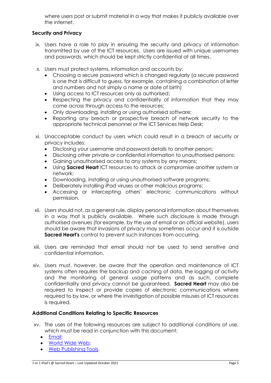where users post or submit material in a way that makes it publicly available over the internet.

# **Security and Privacy**

- ix. Users have a role to play in ensuring the security and privacy of information transmitted by use of the ICT resources. Users are issued with unique usernames and passwords, which should be kept strictly confidential at all times.
- x. Users must protect systems, information and accounts by:
	- Choosing a secure password which is changed regularly (a secure password is one that is difficult to guess, for example, containing a combination of letter and numbers and not simply a name or date of birth)
	- Using access to ICT resources only as authorised;
	- Respecting the privacy and confidentiality of information that they may come across through access to the resources;
	- Only downloading, installing or using authorised software;
	- Reporting any breach or prospective breach of network security to the appropriate technical personnel or the ICT Services Help Desk;
- xi. Unacceptable conduct by users which could result in a breach of security or privacy includes:
	- Disclosing your username and password details to another person;
	- Disclosing other private or confidential information to unauthorised persons;
	- Gaining unauthorised access to any systems by any means;
	- Using **Sacred Heart** ICT resources to attack or compromise another system or network;
	- Downloading, installing or using unauthorised software programs;
	- Deliberately installing iPad viruses or other malicious programs;
	- Accessing or intercepting others' electronic communications without permission.
- xii. Users should not, as a general rule, display personal information about themselves in a way that is publicly available. Where such disclosure is made through authorised avenues (for example, by the use of email or an official website), users should be aware that invasions of privacy may sometimes occur and it is outside **Sacred Heart's** control to prevent such instances from occurring.
- xiii. Users are reminded that email should not be used to send sensitive and confidential information.
- xiv. Users must, however, be aware that the operation and maintenance of ICT systems often requires the backup and caching of data, the logging of activity and the monitoring of general usage patterns and as such, complete confidentiality and privacy cannot be guaranteed. **Sacred Heart** may also be required to inspect or provide copies of electronic communications where required to by law, or where the investigation of possible misuses of ICT resources is required.

#### **Additional Conditions Relating to Specific Resources**

- xv. The uses of the following resources are subject to additional conditions of use, which must be read in conjunction with this document:
	- [Email;](https://staffportal.bne.catholic.edu.au/docushare/dsweb/Get/Document-14260/Additional+Conditions+Relating+to+Email.doc)
	- [World Wide Web;](https://staffportal.bne.catholic.edu.au/docushare/dsweb/Get/Document-14262/Additional+Conditions+Relating+to+WWW.doc)
	- [Web Publishing Tools.](https://staffportal.bne.catholic.edu.au/docushare/dsweb/Get/Document-14261/Additional+Conditions+Relating+to+Web+Hosting.doc)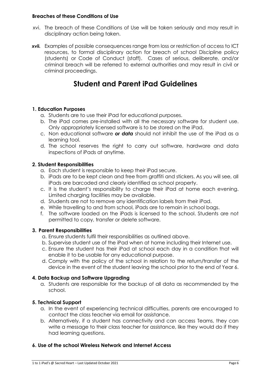#### **Breaches of these Conditions of Use**

- xvi. The breach of these Conditions of Use will be taken seriously and may result in disciplinary action being taken.
- **xvii.** Examples of possible consequences range from loss or restriction of access to ICT resources, to formal disciplinary action for breach of school Discipline policy (students) or Code of Conduct (staff). Cases of serious, deliberate, and/or criminal breach will be referred to external authorities and may result in civil or criminal proceedings.

# **Student and Parent iPad Guidelines**

## **1. Education Purposes**

- a. Students are to use their iPad for educational purposes.
- b. The iPad comes pre-installed with all the necessary software for student use. Only appropriately licensed software is to be stored on the iPad.
- c. Non educational software *or data* should not inhibit the use of the iPad as a learning tool.
- d. The school reserves the right to carry out software, hardware and data inspections of iPads at anytime.

## **2. Student Responsibilities**

- a. Each student is responsible to keep their iPad secure.
- b. iPads are to be kept clean and free from graffiti and stickers. As you will see, all iPads are barcoded and clearly identified as school property.
- c. It is the student's responsibility to charge their iPad at home each evening. Limited charging facilities may be available.
- d. Students are not to remove any identification labels from their iPad.
- e. While travelling to and from school, iPads are to remain in school bags.
- f. The software loaded on the iPads is licensed to the school. Students are not permitted to copy, transfer or delete software.

## **3. Parent Responsibilities**

- a. Ensure students fulfil their responsibilities as outlined above.
- b. Supervise student use of the iPad when at home including their Internet use.
- c. Ensure the student has their iPad at school each day in a condition that will enable it to be usable for any educational purpose.
- d. Comply with the policy of the school in relation to the return/transfer of the device in the event of the student leaving the school prior to the end of Year 6.

## **4. Data Backup and Software Upgrading**

a. Students are responsible for the backup of all data as recommended by the school.

## **5. Technical Support**

- a. In the event of experiencing technical difficulties, parents are encouraged to contact the class teacher via email for assistance.
- b. Alternatively, if a student has connectivity and can access Teams, they can write a message to their class teacher for assistance, like they would do if they had learning questions.

## **6. Use of the school Wireless Network and Internet Access**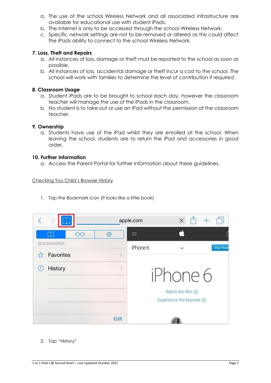- a. The use of the school Wireless Network and all associated infrastructure are available for educational use with student iPads.
- b. The Internet is only to be accessed through the school Wireless Network.
- c. Specific network settings are not to be removed or altered as this could affect the iPads ability to connect to the school Wireless Network.

#### **7. Loss, Theft and Repairs**

- a. All instances of loss, damage or theft must be reported to the school as soon as possible.
- b. All instances of loss, accidental damage or theft incur a cost to the school. The school will work with families to determine the level of contribution if required.

#### **8. Classroom Usage**

- a. Student iPads are to be brought to school each day, however the classroom teacher will manage the use of the iPads in the classroom.
- b. No student is to take out or use an iPad without the permission of the classroom teacher.

#### **9. Ownership**

a. Students have use of the iPad whilst they are enrolled at the school. When leaving the school, students are to return the iPad and accessories in good order.

#### **10. Further Information**

a. Access the Parent Portal for further information about these guidelines.

#### Checking You Child's Browser History

1. Tap the Bookmark icon (it looks like a little book)

|   |                            |      | apple.com | $\times$                      |                |  |
|---|----------------------------|------|-----------|-------------------------------|----------------|--|
|   | $\square$<br>$\circ \circ$ | @    |           | á                             |                |  |
|   | <b>BOOKMARKS</b>           |      | iPhone 6  |                               | <b>Buy Now</b> |  |
|   | Favorites                  |      |           |                               |                |  |
| н | History                    | 5    | iPhone 6  |                               |                |  |
|   |                            |      |           |                               |                |  |
|   |                            |      |           | Watch the film $\circledcirc$ |                |  |
|   |                            |      |           | Experience the keynote (D)    |                |  |
|   |                            | Edit |           |                               |                |  |

#### 2. Tap "History"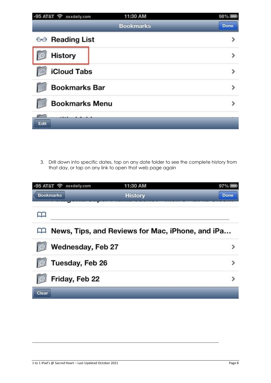| -95 AT&T $\widehat{\mathcal{P}}$ osxdaily.com | 11:30 AM         | 98%         |  |
|-----------------------------------------------|------------------|-------------|--|
|                                               | <b>Bookmarks</b> | <b>Done</b> |  |
| $\leftrightarrow$ Reading List                |                  |             |  |
| <b>History</b>                                |                  |             |  |
| <b>iCloud Tabs</b>                            |                  |             |  |
| <b>Bookmarks Bar</b>                          |                  |             |  |
| <b>Bookmarks Menu</b>                         |                  |             |  |
| Edit                                          |                  |             |  |

3. Drill down into specific dates, tap on any date folder to see the complete history from that day, or tap on any link to open that web page again

| -95 AT&T ? osxdaily.com | 11:30 AM                                         | 97%         |
|-------------------------|--------------------------------------------------|-------------|
| <b>Bookmarks</b>        | <b>History</b>                                   | <b>Done</b> |
|                         |                                                  |             |
|                         | News, Tips, and Reviews for Mac, iPhone, and iPa |             |
| Wednesday, Feb 27       |                                                  |             |
| Tuesday, Feb 26         |                                                  | ≯           |
| Friday, Feb 22          |                                                  | ゝ           |
| Clear                   |                                                  |             |

**\_\_\_\_\_\_\_\_\_\_\_\_\_\_\_\_\_\_\_\_\_\_\_\_\_\_\_\_\_\_\_\_\_\_\_\_\_\_\_\_\_\_\_\_\_\_\_\_\_\_\_\_\_\_\_\_\_\_\_\_\_\_\_\_\_\_\_\_\_\_\_\_\_\_\_\_\_\_\_\_\_\_**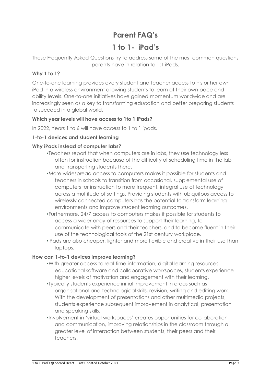# **Parent FAQ's**

# **1 to 1- iPad's**

These Frequently Asked Questions try to address some of the most common questions parents have in relation to 1:1 iPads.

# **Why 1 to 1?**

One-to-one learning provides every student and teacher access to his or her own iPad in a wireless environment allowing students to learn at their own pace and ability levels. One-to-one initiatives have gained momentum worldwide and are increasingly seen as a key to transforming education and better preparing students to succeed in a global world.

# **Which year levels will have access to 1to 1 iPads?**

In 2022, Years 1 to 6 will have access to 1 to 1 ipads.

# **1-to-1 devices and student learning**

# **Why iPads instead of computer labs?**

- •Teachers report that when computers are in labs, they use technology less often for instruction because of the difficulty of scheduling time in the lab and transporting students there.
- •More widespread access to computers makes it possible for students and teachers in schools to transition from occasional, supplemental use of computers for instruction to more frequent, integral use of technology across a multitude of settings. Providing students with ubiquitous access to wirelessly connected computers has the potential to transform learning environments and improve student learning outcomes.
- •Furthermore, 24/7 access to computers makes it possible for students to access a wider array of resources to support their learning, to communicate with peers and their teachers, and to become fluent in their use of the technological tools of the 21st century workplace.
- •iPads are also cheaper, lighter and more flexible and creative in their use than laptops.

# **How can 1-to-1 devices improve learning?**

- •With greater access to real-time information, digital learning resources, educational software and collaborative workspaces, students experience higher levels of motivation and engagement with their learning.
- •Typically students experience initial improvement in areas such as organisational and technological skills, revision, writing and editing work. With the development of presentations and other multimedia projects, students experience subsequent improvement in analytical, presentation and speaking skills.
- •Involvement in 'virtual workspaces' creates opportunities for collaboration and communication, improving relationships in the classroom through a greater level of interaction between students, their peers and their teachers.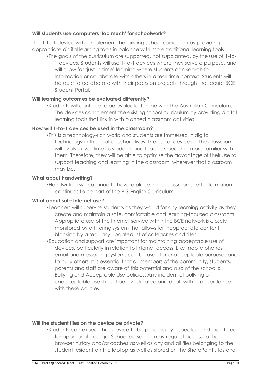# Will students use computers 'too much' for schoolwork?

The 1-to-1 device will complement the existing school curriculum by providing appropriate digital learning tools in balance with more traditional learning tools.

•The goals of the curriculum are supported, not supplanted, by the use of 1-to-1 devices. Students will use 1-to-1 devices where they serve a purpose, and will allow for 'just-in-time' learning where students can search for information or collaborate with others in a real-time context. Students will be able to collaborate with their peers on projects through the secure BCE Student Portal.

# **Will learning outcomes be evaluated differently?**

•Students will continue to be evaluated in line with The Australian Curriculum. The devices complement the existing school curriculum by providing digital learning tools that link in with planned classroom activities.

# **How will 1-to-1 devices be used in the classroom?**

•This is a technology-rich world and students are immersed in digital technology in their out-of-school lives. The use of devices in the classroom will evolve over time as students and teachers become more familiar with them. Therefore, they will be able to optimise the advantage of their use to support teaching and learning in the classroom, wherever that classroom may be.

## **What about handwriting?**

•Handwriting will continue to have a place in the classroom. Letter formation continues to be part of the P-3 English Curriculum.

## **What about safe Internet use?**

- •Teachers will supervise students as they would for any learning activity as they create and maintain a safe, comfortable and learning-focused classroom. Appropriate use of the Internet service within the BCE network is closely monitored by a filtering system that allows for inappropriate content blocking by a regularly updated list of categories and sites.
- •Education and support are important for maintaining acceptable use of devices, particularly in relation to Internet access. Like mobile phones, email and messaging systems can be used for unacceptable purposes and to bully others. It is essential that all members of the community, students, parents and staff are aware of this potential and also of the school's Bullying and Acceptable Use policies. Any incident of bullying or unacceptable use should be investigated and dealt with in accordance with these policies.

## **Will the student files on the device be private?**

•Students can expect their device to be periodically inspected and monitored for appropriate usage. School personnel may request access to the browser history and/or caches as well as any and all files belonging to the student resident on the laptop as well as stored on the SharePoint sites and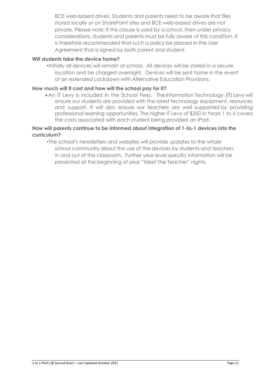BCE web-based drives. Students and parents need to be aware that files stored locally or on SharePoint sites and BCE web-based drives are not private. Please note: If this clause is used by a school, then under privacy considerations, students and parents must be fully aware of this condition. It is therefore recommended that such a policy be placed in the User Agreement that is signed by both parent and student.

## **Will students take the device home?**

•Initially all devices will remain at school. All devices will be stored in a secure location and be charged overnight. Devices will be sent home in the event of an extended Lockdown with Alternative Education Provisions.

#### **How much will it cost and how will the school pay for it?**

• An IT Levy is included in the School Fees. The Information Technology (IT) Levy will ensure our students are provided with the latest technology equipment, resources and support. It will also ensure our teachers are well supported by providing professional learning opportunities. The higher IT Levy of \$350 in Years 1 to 6 covers the costs associated with each student being provided an iPad.

## **How will parents continue to be informed about integration of 1-to-1 devices into the curriculum?**

•The school's newsletters and websites will provide updates to the whole school community about the use of the devices by students and teachers in and out of the classroom. Further year level specific information will be presented at the beginning of year "Meet the Teacher" nights.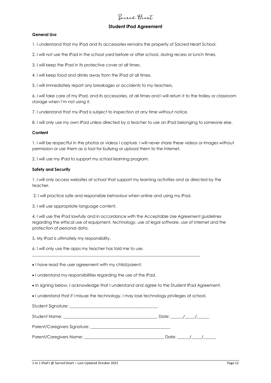# **Sacred Heart**

#### **Student iPad Agreement**

#### **General Use**

1. I understand that my iPad and its accessories remains the property of Sacred Heart School.

2. I will not use the iPad in the school yard before or after school, during recess or lunch times.

3. I will keep the iPad in its protective cover at all times.

4. I will keep food and drinks away from the iPad at all times.

5. I will immediately report any breakages or accidents to my teachers.

6. I will take care of my iPad, and its accessories, at all times and I will return it to the trolley or classroom storage when I'm not using it.

7. I understand that my iPad is subject to inspection at any time without notice.

8. I will only use my own iPad unless directed by a teacher to use an iPad belonging to someone else.

#### **Content**

1. I will be respectful in the photos or videos I capture. I will never share these videos or images without permission or use them as a tool for bullying or upload them to the internet.

2. I will use my iPad to support my school learning program.

#### **Safety and Security**

Student Signature:

1. I will only access websites at school that support my learning activities and as directed by the teacher.

2. I will practice safe and responsible behaviour when online and using my iPad.

3. I will use appropriate language content.

4. I will use the iPad lawfully and in accordance with the Acceptable Use Agreement guidelines regarding the ethical use of equipment, technology, use of legal software, use of internet and the protection of personal data.

5. My iPad is ultimately my responsibility.

6. I will only use the apps my teacher has told me to use.

• I have read the user agreement with my child/parent.

• I understand my responsibilities regarding the use of the iPad.

• In signing below, I acknowledge that I understand and agree to the Student iPad Agreement.

• I understand that if I misuse the technology, I may lose technology privileges at school.

\_\_\_\_\_\_\_\_\_\_\_\_\_\_\_\_\_\_\_\_\_\_\_\_\_\_\_\_\_\_\_\_\_\_\_\_\_\_\_\_\_\_\_\_\_\_\_\_\_\_\_\_\_\_\_\_\_\_\_\_\_\_\_\_\_\_\_\_\_\_\_\_\_\_\_\_\_\_\_\_\_\_

| Student Name: The Communication of the Communication of the Communication of the Communication of the Communication of the Communication of the Communication of the Communication of the Communication of the Communication o | Date: / / |  |  |  |
|--------------------------------------------------------------------------------------------------------------------------------------------------------------------------------------------------------------------------------|-----------|--|--|--|
| Parent/Caregivers Signature: example and the contract of the contract of the contract of the contract of the contract of the contract of the contract of the contract of the contract of the contract of the contract of the c |           |  |  |  |
| Parent/Caregivers Name:                                                                                                                                                                                                        |           |  |  |  |